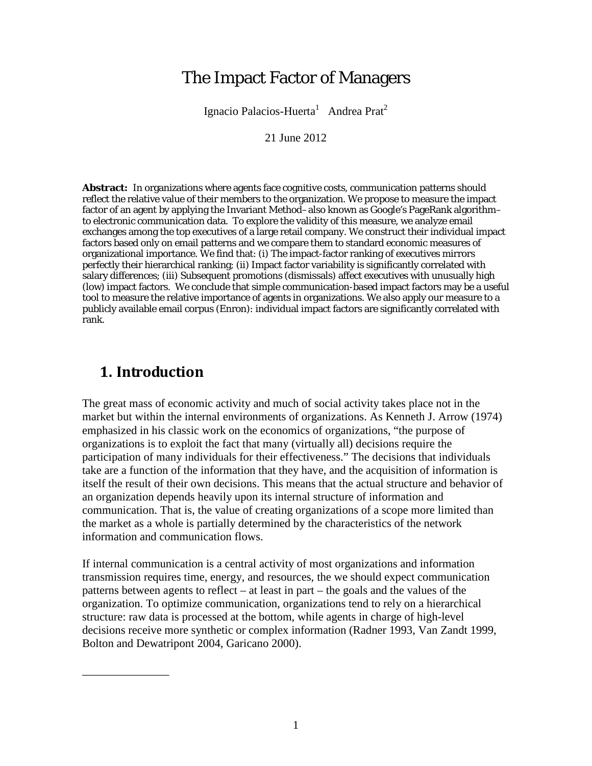# The Impact Factor of Managers

Ignacio Palacios-Huerta<sup>1</sup> Andrea Prat<sup>2</sup>

21 June 2012

Abstract: In organizations where agents face cognitive costs, communication patterns should reflect the relative value of their members to the organization. We propose to measure the impact factor of an agent by applying the Invariant Method–also known as Google's PageRank algorithm– to electronic communication data. To explore the validity of this measure, we analyze email exchanges among the top executives of a large retail company. We construct their individual impact factors based only on email patterns and we compare them to standard economic measures of organizational importance. We find that: (i) The impact-factor ranking of executives mirrors perfectly their hierarchical ranking; (ii) Impact factor variability is significantly correlated with salary differences; (iii) Subsequent promotions (dismissals) affect executives with unusually high (low) impact factors. We conclude that simple communication-based impact factors may be a useful tool to measure the relative importance of agents in organizations. We also apply our measure to a publicly available email corpus (Enron): individual impact factors are significantly correlated with rank.

## **1. Introduction**

\_\_\_\_\_\_\_\_\_\_\_\_\_\_\_

The great mass of economic activity and much of social activity takes place not in the market but within the internal environments of organizations. As Kenneth J. Arrow [\(19](#page-9-0)74) emphasized in his classic work on the economics of organizations, "the purpose of organizations is to exploit the fact that many (virtually all) decisions require the participation of many individuals for their effectiveness." The decisions that individuals take are a function of the information that they have, and the acquisition of information is itself the result of their own decisions. This means that the actual structure and behavior of an organization depends heavily upon its internal structure of information and communication. That is, the value of creating organizations of a scope more limited than the market as a whole is partially determined by the characteristics of the network information and communication flows.

If internal communication is a central activity of most organizations and information transmission requires time, energy, and resources, the we should expect communication patterns between agents to reflect – at least in part – the goals and the values of the organization. To optimize communication, organizations tend to rely on a hierarchical structure: raw data is processed at the bottom, while agents in charge of high-level decisions receive more synthetic or complex information (Radner 1993, Van Zandt 1999, Bolton and Dewatripont 2004, Garicano 2000).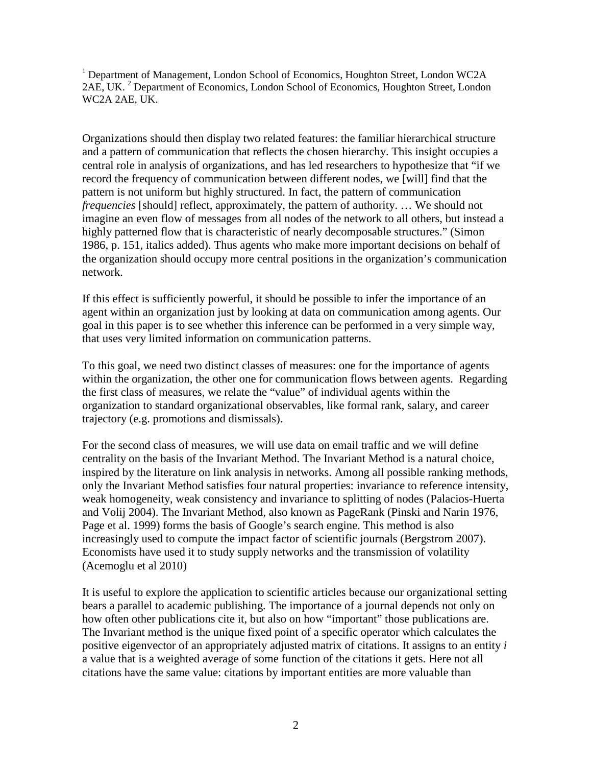<sup>1</sup> Department of Management, London School of Economics, Houghton Street, London WC2A 2AE, UK. <sup>2</sup> Department of Economics, London School of Economics, Houghton Street, London WC2A 2AE, UK.

Organizations should then display two related features: the familiar hierarchical structure and a pattern of communication that reflects the chosen hierarchy. This insight occupies a central role in analysis of organizations, and has led researchers to hypothesize that "if we record the frequency of communication between different nodes, we [will] find that the pattern is not uniform but highly structured. In fact, the pattern of communication *frequencies* [should] reflect, approximately, the pattern of authority. … We should not imagine an even flow of messages from all nodes of the network to all others, but instead a highly patterned flow that is characteristic of nearly decomposable structures." (Simon 1986, p. 151, italics added). Thus agents who make more important decisions on behalf of the organization should occupy more central positions in the organization's communication network.

If this effect is sufficiently powerful, it should be possible to infer the importance of an agent within an organization just by looking at data on communication among agents. Our goal in this paper is to see whether this inference can be performed in a very simple way, that uses very limited information on communication patterns.

To this goal, we need two distinct classes of measures: one for the importance of agents within the organization, the other one for communication flows between agents. Regarding the first class of measures, we relate the "value" of individual agents within the organization to standard organizational observables, like formal rank, salary, and career trajectory (e.g. promotions and dismissals).

For the second class of measures, we will use data on email traffic and we will define centrality on the basis of the Invariant Method. The Invariant Method is a natural choice, inspired by the literature on link analysis in networks. Among all possible ranking methods, only the Invariant Method satisfies four natural properties: invariance to reference intensity, weak homogeneity, weak consistency and invariance to splitting of nodes (Palacios-Huerta and Volij 2004). The Invariant Method, also known as PageRank (Pinski and Narin 1976, Page et al. 1999) forms the basis of Google's search engine. This method is also increasingly used to compute the impact factor of scientific journals (Bergstrom 2007). Economists have used it to study supply networks and the transmission of volatility (Acemoglu et al 2010)

It is useful to explore the application to scientific articles because our organizational setting bears a parallel to academic publishing. The importance of a journal depends not only on how often other publications cite it, but also on how "important" those publications are. The Invariant method is the unique fixed point of a specific operator which calculates the positive eigenvector of an appropriately adjusted matrix of citations. It assigns to an entity *i*  a value that is a weighted average of some function of the citations it gets. Here not all citations have the same value: citations by important entities are more valuable than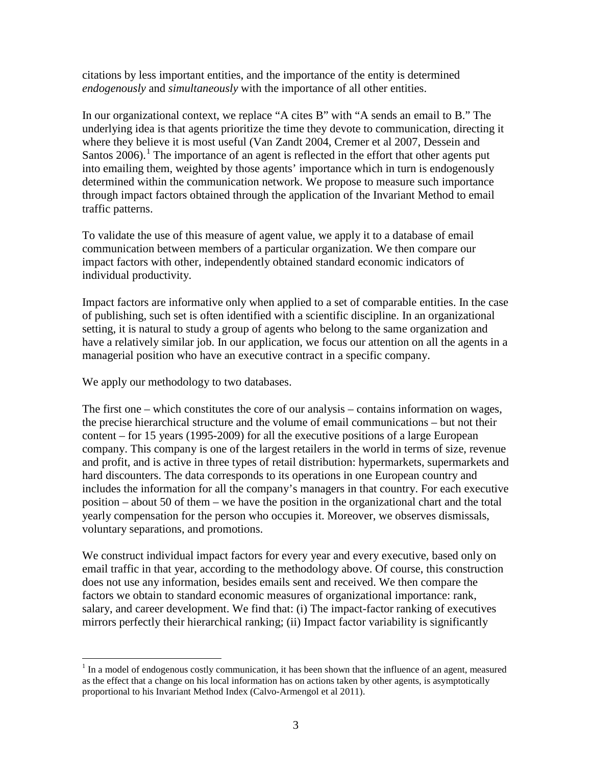citations by less important entities, and the importance of the entity is determined *endogenously* and *simultaneously* with the importance of all other entities.

In our organizational context, we replace "A cites B" with "A sends an email to B." The underlying idea is that agents prioritize the time they devote to communication, directing it where they believe it is most useful (Van Zandt 2004, Cremer et al 2007, Dessein and Santos  $2006$ .<sup>[1](#page-2-0)</sup> The importance of an agent is reflected in the effort that other agents put into emailing them, weighted by those agents' importance which in turn is endogenously determined within the communication network. We propose to measure such importance through impact factors obtained through the application of the Invariant Method to email traffic patterns.

To validate the use of this measure of agent value, we apply it to a database of email communication between members of a particular organization. We then compare our impact factors with other, independently obtained standard economic indicators of individual productivity.

Impact factors are informative only when applied to a set of comparable entities. In the case of publishing, such set is often identified with a scientific discipline. In an organizational setting, it is natural to study a group of agents who belong to the same organization and have a relatively similar job. In our application, we focus our attention on all the agents in a managerial position who have an executive contract in a specific company.

We apply our methodology to two databases.

The first one – which constitutes the core of our analysis – contains information on wages, the precise hierarchical structure and the volume of email communications – but not their content – for 15 years (1995-2009) for all the executive positions of a large European company. This company is one of the largest retailers in the world in terms of size, revenue and profit, and is active in three types of retail distribution: hypermarkets, supermarkets and hard discounters. The data corresponds to its operations in one European country and includes the information for all the company's managers in that country. For each executive position – about 50 of them – we have the position in the organizational chart and the total yearly compensation for the person who occupies it. Moreover, we observes dismissals, voluntary separations, and promotions.

We construct individual impact factors for every year and every executive, based only on email traffic in that year, according to the methodology above. Of course, this construction does not use any information, besides emails sent and received. We then compare the factors we obtain to standard economic measures of organizational importance: rank, salary, and career development. We find that: (i) The impact-factor ranking of executives mirrors perfectly their hierarchical ranking; (ii) Impact factor variability is significantly

<span id="page-2-0"></span><sup>&</sup>lt;sup>1</sup> In a model of endogenous costly communication, it has been shown that the influence of an agent, measured as the effect that a change on his local information has on actions taken by other agents, is asymptotically proportional to his Invariant Method Index (Calvo-Armengol et al 2011).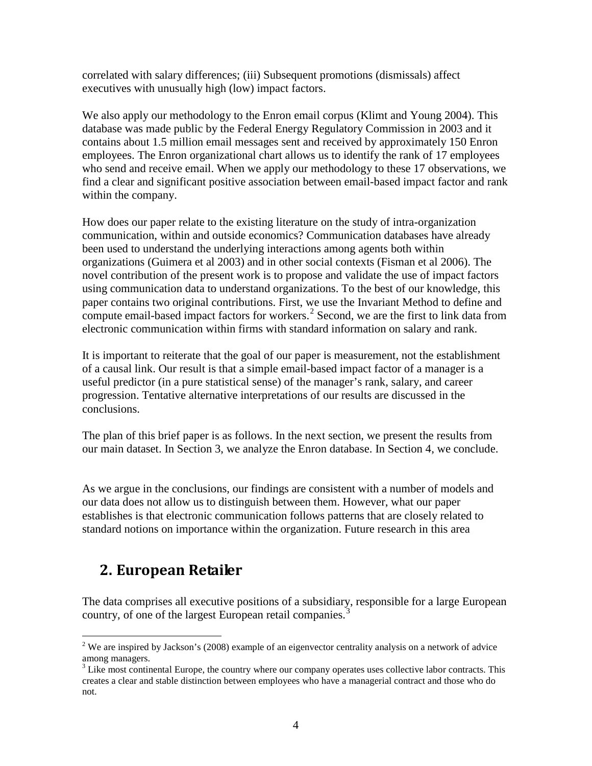correlated with salary differences; (iii) Subsequent promotions (dismissals) affect executives with unusually high (low) impact factors.

We also apply our methodology to the Enron email corpus (Klimt and Young 2004). This database was made public by the Federal Energy Regulatory Commission in 2003 and it contains about 1.5 million email messages sent and received by approximately 150 Enron employees. The Enron organizational chart allows us to identify the rank of 17 employees who send and receive email. When we apply our methodology to these 17 observations, we find a clear and significant positive association between email-based impact factor and rank within the company.

How does our paper relate to the existing literature on the study of intra-organization communication, within and outside economics? Communication databases have already been used to understand the underlying interactions among agents both within organizations (Guimera et al 2003) and in other social contexts (Fisman et al 2006). The novel contribution of the present work is to propose and validate the use of impact factors using communication data to understand organizations. To the best of our knowledge, this paper contains two original contributions. First, we use the Invariant Method to define and compute email-based impact factors for workers.<sup>[2](#page-3-0)</sup> Second, we are the first to link data from electronic communication within firms with standard information on salary and rank.

It is important to reiterate that the goal of our paper is measurement, not the establishment of a causal link. Our result is that a simple email-based impact factor of a manager is a useful predictor (in a pure statistical sense) of the manager's rank, salary, and career progression. Tentative alternative interpretations of our results are discussed in the conclusions.

The plan of this brief paper is as follows. In the next section, we present the results from our main dataset. In Section 3, we analyze the Enron database. In Section 4, we conclude.

As we argue in the conclusions, our findings are consistent with a number of models and our data does not allow us to distinguish between them. However, what our paper establishes is that electronic communication follows patterns that are closely related to standard notions on importance within the organization. Future research in this area

## **2. European Retailer**

The data comprises all executive positions of a subsidiary, responsible for a large European country, of one of the largest European retail companies.<sup>[3](#page-3-1)</sup>

<span id="page-3-0"></span><sup>&</sup>lt;sup>2</sup> We are inspired by Jackson's (2008) example of an eigenvector centrality analysis on a network of advice among managers.

<span id="page-3-1"></span><sup>&</sup>lt;sup>3</sup> Like most continental Europe, the country where our company operates uses collective labor contracts. This creates a clear and stable distinction between employees who have a managerial contract and those who do not.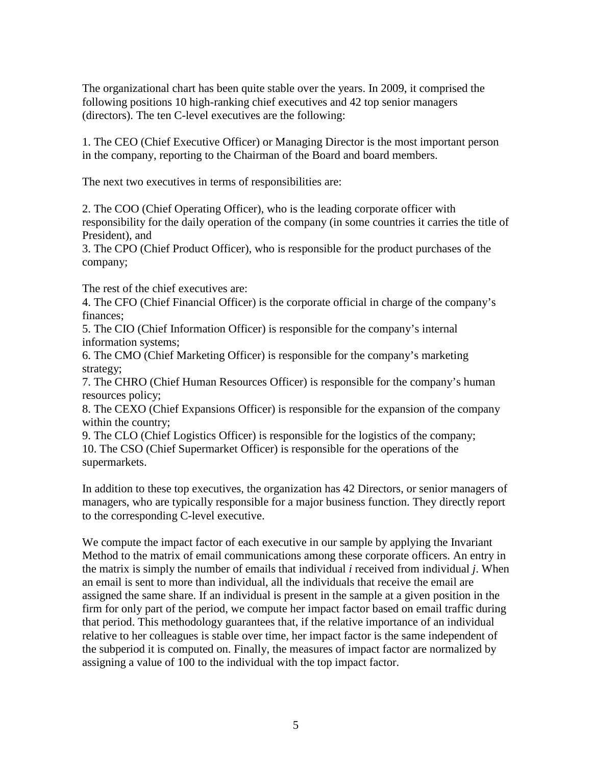The organizational chart has been quite stable over the years. In 2009, it comprised the following positions 10 high-ranking chief executives and 42 top senior managers (directors). The ten C-level executives are the following:

1. The CEO (Chief Executive Officer) or Managing Director is the most important person in the company, reporting to the Chairman of the Board and board members.

The next two executives in terms of responsibilities are:

2. The COO (Chief Operating Officer), who is the leading corporate officer with responsibility for the daily operation of the company (in some countries it carries the title of President), and

3. The CPO (Chief Product Officer), who is responsible for the product purchases of the company;

The rest of the chief executives are:

4. The CFO (Chief Financial Officer) is the corporate official in charge of the company's finances;

5. The CIO (Chief Information Officer) is responsible for the company's internal information systems;

6. The CMO (Chief Marketing Officer) is responsible for the company's marketing strategy;

7. The CHRO (Chief Human Resources Officer) is responsible for the company's human resources policy;

8. The CEXO (Chief Expansions Officer) is responsible for the expansion of the company within the country;

9. The CLO (Chief Logistics Officer) is responsible for the logistics of the company; 10. The CSO (Chief Supermarket Officer) is responsible for the operations of the supermarkets.

In addition to these top executives, the organization has 42 Directors, or senior managers of managers, who are typically responsible for a major business function. They directly report to the corresponding C-level executive.

We compute the impact factor of each executive in our sample by applying the Invariant Method to the matrix of email communications among these corporate officers. An entry in the matrix is simply the number of emails that individual *i* received from individual *j*. When an email is sent to more than individual, all the individuals that receive the email are assigned the same share. If an individual is present in the sample at a given position in the firm for only part of the period, we compute her impact factor based on email traffic during that period. This methodology guarantees that, if the relative importance of an individual relative to her colleagues is stable over time, her impact factor is the same independent of the subperiod it is computed on. Finally, the measures of impact factor are normalized by assigning a value of 100 to the individual with the top impact factor.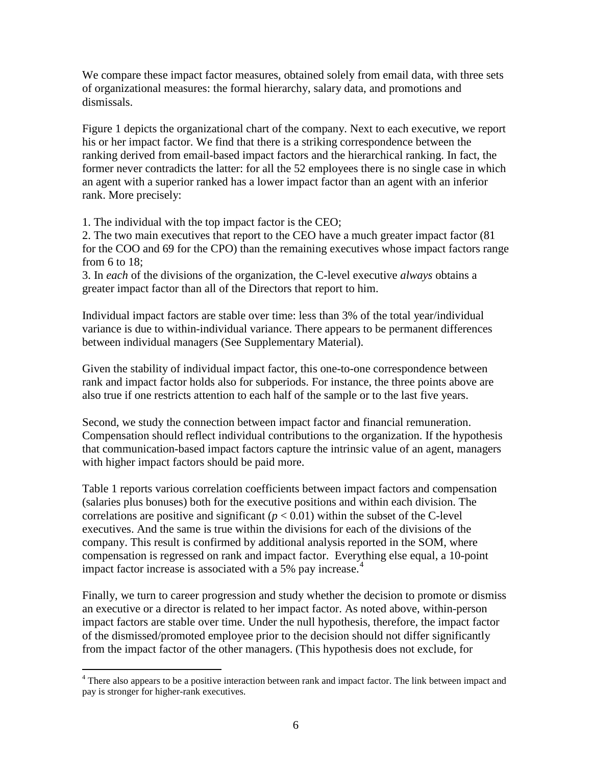We compare these impact factor measures, obtained solely from email data, with three sets of organizational measures: the formal hierarchy, salary data, and promotions and dismissals.

Figure 1 depicts the organizational chart of the company. Next to each executive, we report his or her impact factor. We find that there is a striking correspondence between the ranking derived from email-based impact factors and the hierarchical ranking. In fact, the former never contradicts the latter: for all the 52 employees there is no single case in which an agent with a superior ranked has a lower impact factor than an agent with an inferior rank. More precisely:

1. The individual with the top impact factor is the CEO;

2. The two main executives that report to the CEO have a much greater impact factor (81 for the COO and 69 for the CPO) than the remaining executives whose impact factors range from 6 to 18;

3. In *each* of the divisions of the organization, the C-level executive *always* obtains a greater impact factor than all of the Directors that report to him.

Individual impact factors are stable over time: less than 3% of the total year/individual variance is due to within-individual variance. There appears to be permanent differences between individual managers (See Supplementary Material).

Given the stability of individual impact factor, this one-to-one correspondence between rank and impact factor holds also for subperiods. For instance, the three points above are also true if one restricts attention to each half of the sample or to the last five years.

Second, we study the connection between impact factor and financial remuneration. Compensation should reflect individual contributions to the organization. If the hypothesis that communication-based impact factors capture the intrinsic value of an agent, managers with higher impact factors should be paid more.

Table 1 reports various correlation coefficients between impact factors and compensation (salaries plus bonuses) both for the executive positions and within each division. The correlations are positive and significant  $(p < 0.01)$  within the subset of the C-level executives. And the same is true within the divisions for each of the divisions of the company. This result is confirmed by additional analysis reported in the SOM, where compensation is regressed on rank and impact factor. Everything else equal, a 10-point impact factor increase is associated with a 5% pay increase. $4$ 

Finally, we turn to career progression and study whether the decision to promote or dismiss an executive or a director is related to her impact factor. As noted above, within-person impact factors are stable over time. Under the null hypothesis, therefore, the impact factor of the dismissed/promoted employee prior to the decision should not differ significantly from the impact factor of the other managers. (This hypothesis does not exclude, for

<span id="page-5-0"></span><sup>&</sup>lt;sup>4</sup> There also appears to be a positive interaction between rank and impact factor. The link between impact and pay is stronger for higher-rank executives.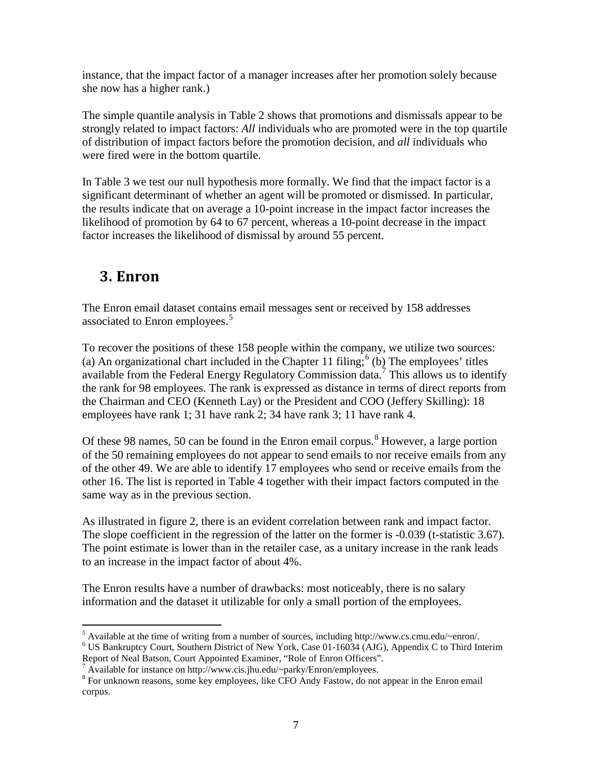instance, that the impact factor of a manager increases after her promotion solely because she now has a higher rank.)

The simple quantile analysis in Table 2 shows that promotions and dismissals appear to be strongly related to impact factors: *All* individuals who are promoted were in the top quartile of distribution of impact factors before the promotion decision, and *all* individuals who were fired were in the bottom quartile.

In Table 3 we test our null hypothesis more formally. We find that the impact factor is a significant determinant of whether an agent will be promoted or dismissed. In particular, the results indicate that on average a 10-point increase in the impact factor increases the likelihood of promotion by 64 to 67 percent, whereas a 10-point decrease in the impact factor increases the likelihood of dismissal by around 55 percent.

## **3. Enron**

The Enron email dataset contains email messages sent or received by 158 addresses associated to Enron employees.<sup>[5](#page-6-0)</sup>

To recover the positions of these 158 people within the company, we utilize two sources: (a) An organizational chart included in the Chapter 11 filing;<sup>[6](#page-6-1)</sup> (b) The employees' titles available from the Federal Energy Regulatory Commission data.[7](#page-6-2) This allows us to identify the rank for 98 employees. The rank is expressed as distance in terms of direct reports from the Chairman and CEO (Kenneth Lay) or the President and COO (Jeffery Skilling): 18 employees have rank 1; 31 have rank 2; 34 have rank 3; 11 have rank 4.

Of these 9[8](#page-6-3) names, 50 can be found in the Enron email corpus.<sup>8</sup> However, a large portion of the 50 remaining employees do not appear to send emails to nor receive emails from any of the other 49. We are able to identify 17 employees who send or receive emails from the other 16. The list is reported in Table 4 together with their impact factors computed in the same way as in the previous section.

As illustrated in figure 2, there is an evident correlation between rank and impact factor. The slope coefficient in the regression of the latter on the former is -0.039 (t-statistic 3.67). The point estimate is lower than in the retailer case, as a unitary increase in the rank leads to an increase in the impact factor of about 4%.

The Enron results have a number of drawbacks: most noticeably, there is no salary information and the dataset it utilizable for only a small portion of the employees.

<span id="page-6-0"></span><sup>&</sup>lt;sup>5</sup> Available at the time of writing from a number of sources, including http://www.cs.cmu.edu/~enron/.  $6$  US Bankruptcy Court, Southern District of New York, Case 01-16034 (AJG), Appendix C to Third Interim

<span id="page-6-1"></span>Report of Neal Batson, Court Appointed Examiner, "Role of Enron Officers". <br><sup>7</sup> Available for instance on http://www.cis.jhu.edu/~parky/Enron/employees.

<span id="page-6-3"></span><span id="page-6-2"></span><sup>&</sup>lt;sup>8</sup> For unknown reasons, some key employees, like CFO Andy Fastow, do not appear in the Enron email corpus.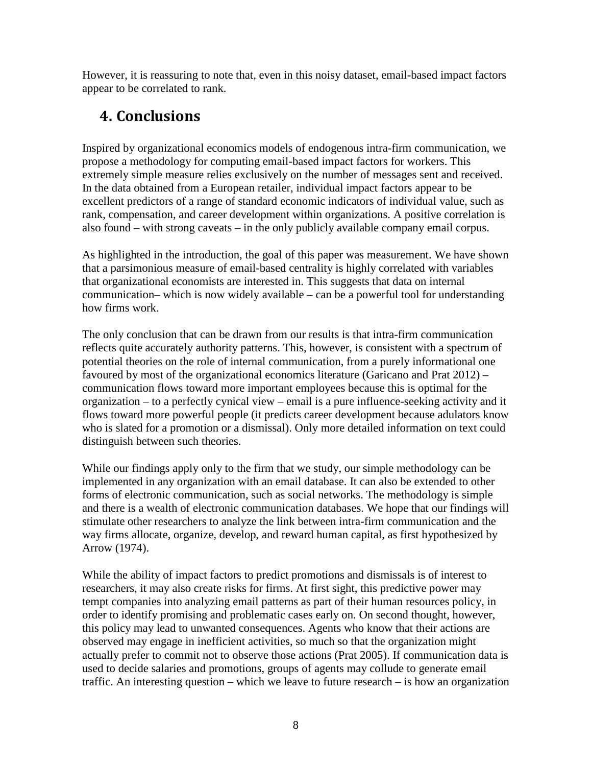However, it is reassuring to note that, even in this noisy dataset, email-based impact factors appear to be correlated to rank.

# **4. Conclusions**

Inspired by organizational economics models of endogenous intra-firm communication, we propose a methodology for computing email-based impact factors for workers. This extremely simple measure relies exclusively on the number of messages sent and received. In the data obtained from a European retailer, individual impact factors appear to be excellent predictors of a range of standard economic indicators of individual value, such as rank, compensation, and career development within organizations. A positive correlation is also found – with strong caveats – in the only publicly available company email corpus.

As highlighted in the introduction, the goal of this paper was measurement. We have shown that a parsimonious measure of email-based centrality is highly correlated with variables that organizational economists are interested in. This suggests that data on internal communication– which is now widely available – can be a powerful tool for understanding how firms work.

The only conclusion that can be drawn from our results is that intra-firm communication reflects quite accurately authority patterns. This, however, is consistent with a spectrum of potential theories on the role of internal communication, from a purely informational one favoured by most of the organizational economics literature (Garicano and Prat 2012) – communication flows toward more important employees because this is optimal for the organization – to a perfectly cynical view – email is a pure influence-seeking activity and it flows toward more powerful people (it predicts career development because adulators know who is slated for a promotion or a dismissal). Only more detailed information on text could distinguish between such theories.

While our findings apply only to the firm that we study, our simple methodology can be implemented in any organization with an email database. It can also be extended to other forms of electronic communication, such as social networks. The methodology is simple and there is a wealth of electronic communication databases. We hope that our findings will stimulate other researchers to analyze the link between intra-firm communication and the way firms allocate, organize, develop, and reward human capital, as first hypothesized by Arrow (1974).

While the ability of impact factors to predict promotions and dismissals is of interest to researchers, it may also create risks for firms. At first sight, this predictive power may tempt companies into analyzing email patterns as part of their human resources policy, in order to identify promising and problematic cases early on. On second thought, however, this policy may lead to unwanted consequences. Agents who know that their actions are observed may engage in inefficient activities, so much so that the organization might actually prefer to commit not to observe those actions (Prat 2005). If communication data is used to decide salaries and promotions, groups of agents may collude to generate email traffic. An interesting question – which we leave to future research – is how an organization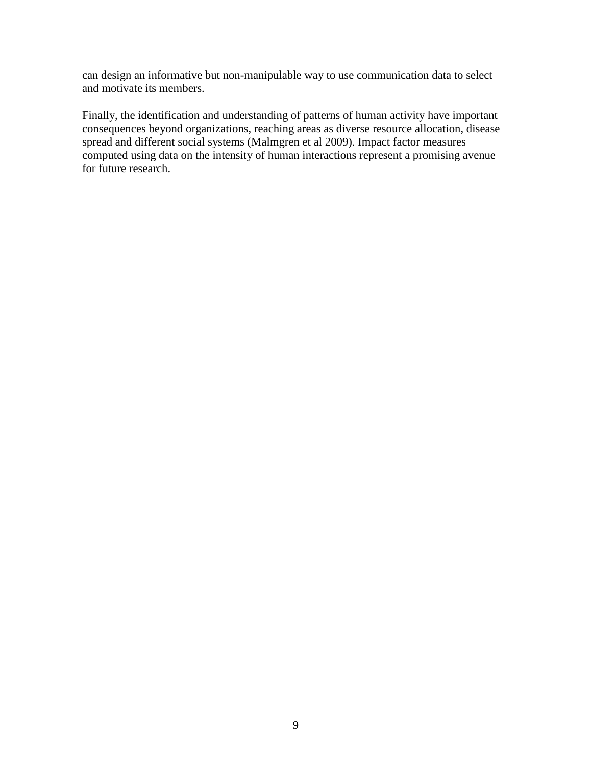can design an informative but non-manipulable way to use communication data to select and motivate its members.

Finally, the identification and understanding of patterns of human activity have important consequences beyond organizations, reaching areas as diverse resource allocation, disease spread and different social systems (Malmgren et al 2009). Impact factor measures computed using data on the intensity of human interactions represent a promising avenue for future research.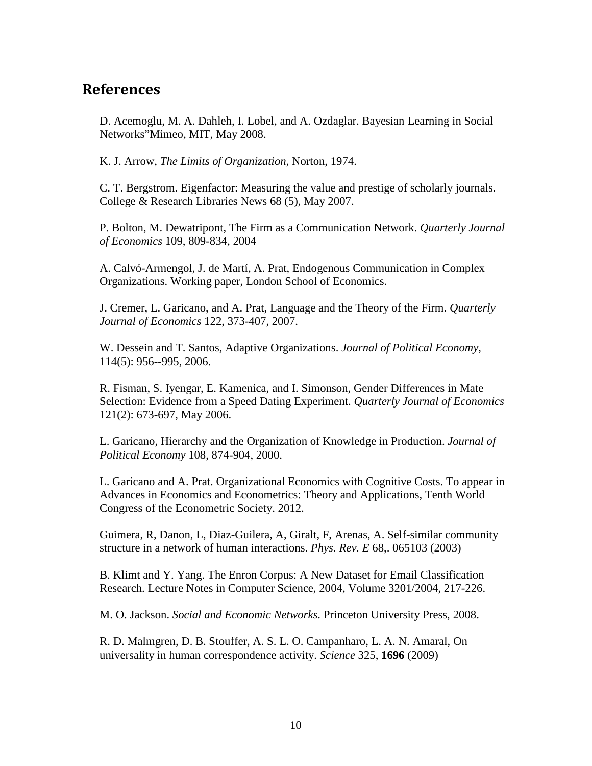#### **References**

<span id="page-9-0"></span>D. Acemoglu, M. A. Dahleh, I. Lobel, and A. Ozdaglar. Bayesian Learning in Social Networks"Mimeo, MIT, May 2008.

K. J. Arrow, *The Limits of Organization*, Norton, 1974.

C. T. Bergstrom. Eigenfactor: Measuring the value and prestige of scholarly journals. College & Research Libraries News 68 (5), May 2007.

P. Bolton, M. Dewatripont, The Firm as a Communication Network. *Quarterly Journal of Economics* 109, 809-834, 2004

A. Calvó-Armengol, J. de Martí, A. Prat, Endogenous Communication in Complex Organizations. Working paper, London School of Economics.

J. Cremer, L. Garicano, and A. Prat, Language and the Theory of the Firm. *Quarterly Journal of Economics* 122, 373-407, 2007.

W. Dessein and T. Santos, Adaptive Organizations. *Journal of Political Economy*, 114(5): 956--995, 2006.

R. Fisman, S. Iyengar, E. Kamenica, and I. Simonson, Gender Differences in Mate Selection: Evidence from a Speed Dating Experiment. *Quarterly Journal of Economics* 121(2): 673-697, May 2006.

L. Garicano, Hierarchy and the Organization of Knowledge in Production. *Journal of Political Economy* 108, 874-904, 2000.

L. Garicano and A. Prat. Organizational Economics with Cognitive Costs. To appear in Advances in Economics and Econometrics: Theory and Applications, Tenth World Congress of the Econometric Society. 2012.

Guimera, R, Danon, L, Diaz-Guilera, A, Giralt, F, Arenas, A. Self-similar community structure in a network of human interactions. *Phys. Rev. E* 68,. 065103 (2003)

B. Klimt and Y. Yang. The Enron Corpus: A New Dataset for Email Classification Research. Lecture Notes in Computer Science, 2004, Volume 3201/2004, 217-226.

M. O. Jackson. *Social and Economic Networks*. Princeton University Press, 2008.

R. D. Malmgren, D. B. Stouffer, A. S. L. O. Campanharo, L. A. N. Amaral, On universality in human correspondence activity. *Science* 325, **1696** (2009)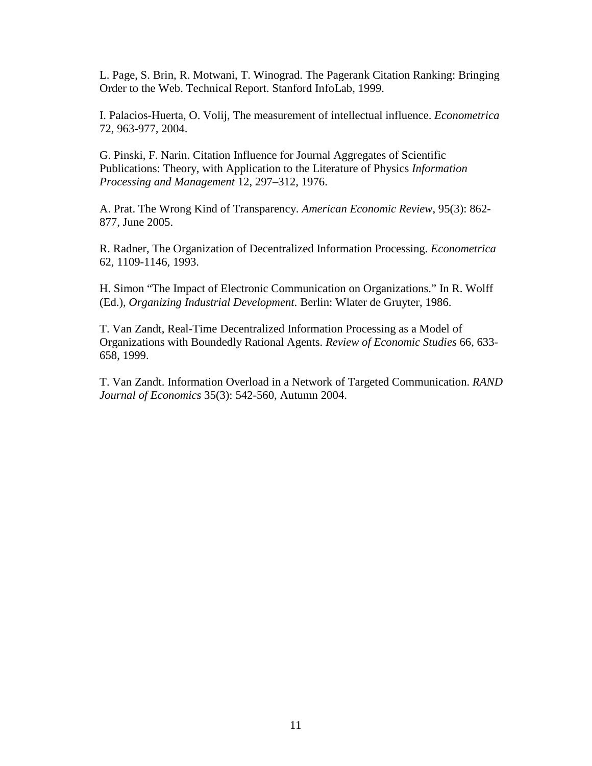L. Page, S. Brin, R. Motwani, T. Winograd. The Pagerank Citation Ranking: Bringing Order to the Web. Technical Report. Stanford InfoLab, 1999.

I. Palacios-Huerta, O. Volij, The measurement of intellectual influence. *Econometrica* 72, 963-977, 2004.

G. Pinski, F. Narin. Citation Influence for Journal Aggregates of Scientific Publications: Theory, with Application to the Literature of Physics *Information Processing and Management* 12, 297–312, 1976.

A. Prat. The Wrong Kind of Transparency. *American Economic Review*, 95(3): 862- 877, June 2005.

R. Radner, The Organization of Decentralized Information Processing. *Econometrica*  62, 1109-1146, 1993.

H. Simon "The Impact of Electronic Communication on Organizations." In R. Wolff (Ed.), *Organizing Industrial Development*. Berlin: Wlater de Gruyter, 1986.

T. Van Zandt, Real-Time Decentralized Information Processing as a Model of Organizations with Boundedly Rational Agents. *Review of Economic Studies* 66, 633- 658, 1999.

T. Van Zandt. Information Overload in a Network of Targeted Communication. *RAND Journal of Economics* 35(3): 542-560, Autumn 2004.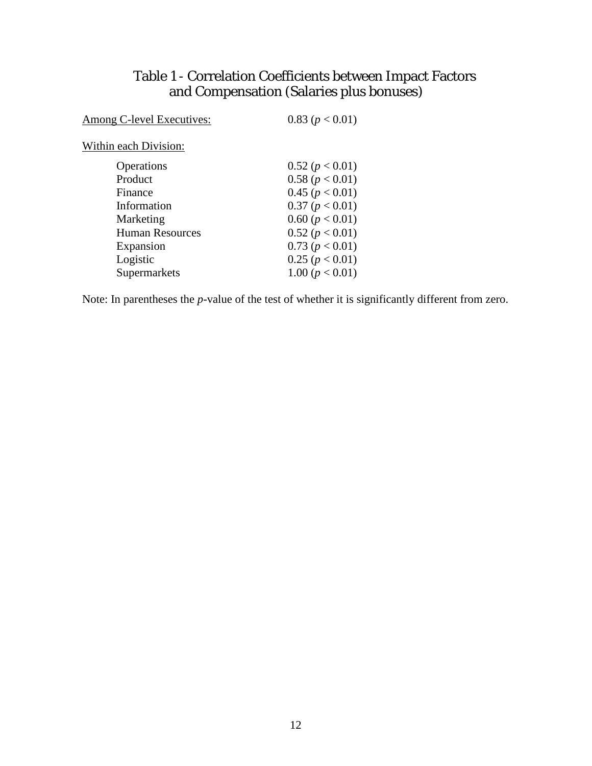#### Table 1 - Correlation Coefficients between Impact Factors and Compensation (Salaries plus bonuses)

| Among C-level Executives: | 0.83 (p < 0.01)   |
|---------------------------|-------------------|
| Within each Division:     |                   |
| Operations                | 0.52 (p < 0.01)   |
| Product                   | 0.58 (p < 0.01)   |
| Finance                   | 0.45 (p < 0.01)   |
| Information               | 0.37 (p < 0.01)   |
| Marketing                 | 0.60 (p < 0.01)   |
| <b>Human Resources</b>    | 0.52 (p < 0.01)   |
| Expansion                 | 0.73 (p < 0.01)   |
| Logistic                  | 0.25 (p < 0.01)   |
| Supermarkets              | 1.00 $(p < 0.01)$ |
|                           |                   |

Note: In parentheses the *p*-value of the test of whether it is significantly different from zero.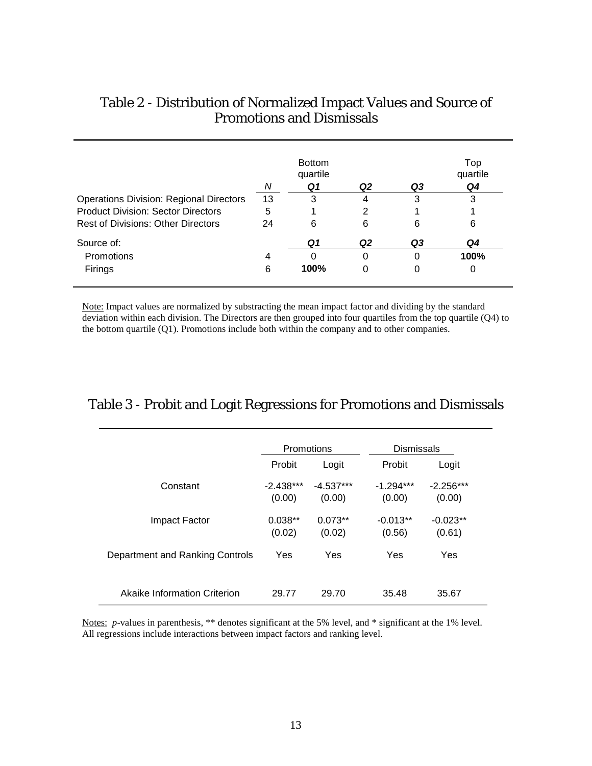|                                                |    | <b>Bottom</b><br>quartile<br>Q1 | Q <sub>2</sub> | Q3 | Top<br>quartile<br>Q4 |
|------------------------------------------------|----|---------------------------------|----------------|----|-----------------------|
| <b>Operations Division: Regional Directors</b> | 13 | 3                               | 4              | 3  | 3                     |
| <b>Product Division: Sector Directors</b>      | 5  |                                 | 2              |    |                       |
| <b>Rest of Divisions: Other Directors</b>      | 24 | 6                               | 6              | 6  | 6                     |
| Source of:                                     |    | Q1                              | Q <sub>2</sub> | Q3 | Q4                    |
| Promotions                                     | 4  |                                 | 0              | 0  | 100%                  |
| Firings                                        | 6  | 100%                            |                | 0  | 0                     |

### Table 2 - Distribution of Normalized Impact Values and Source of Promotions and Dismissals

Note: Impact values are normalized by substracting the mean impact factor and dividing by the standard deviation within each division. The Directors are then grouped into four quartiles from the top quartile (Q4) to the bottom quartile (Q1). Promotions include both within the company and to other companies.

#### Table 3 - Probit and Logit Regressions for Promotions and Dismissals

|                                 | <b>Promotions</b>     |                       | <b>Dismissals</b>     |                       |
|---------------------------------|-----------------------|-----------------------|-----------------------|-----------------------|
|                                 | Probit                | Logit                 | Probit                | Logit                 |
| Constant                        | $-2.438***$<br>(0.00) | $-4.537***$<br>(0.00) | $-1.294***$<br>(0.00) | $-2.256***$<br>(0.00) |
| Impact Factor                   | $0.038**$<br>(0.02)   | $0.073**$<br>(0.02)   | $-0.013**$<br>(0.56)  | $-0.023**$<br>(0.61)  |
| Department and Ranking Controls | Yes                   | Yes                   | Yes                   | Yes                   |
| Akaike Information Criterion    | 29.77                 | 29.70                 | 35.48                 | 35.67                 |

Notes: *p*-values in parenthesis, \*\* denotes significant at the 5% level, and \* significant at the 1% level. All regressions include interactions between impact factors and ranking level.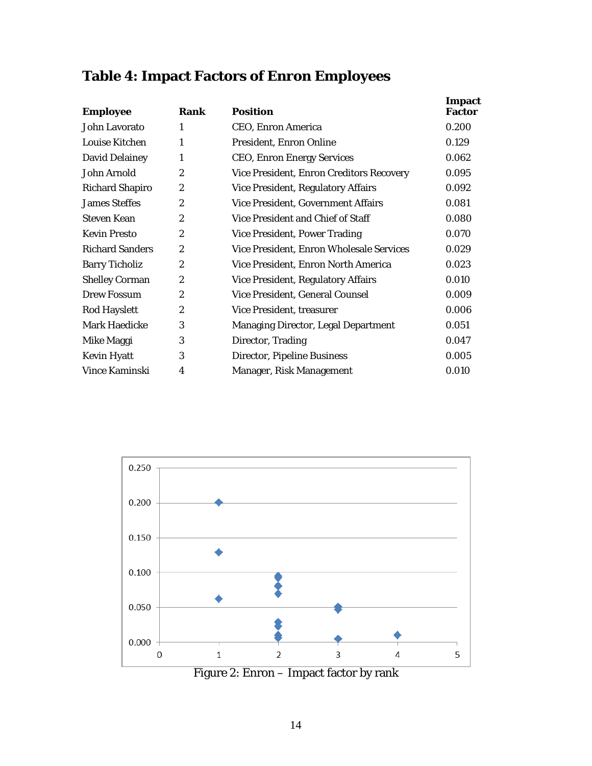# **Table 4: Impact Factors of Enron Employees**

| <b>Employee</b>        | Rank             | <b>Position</b>                            | Impact<br><b>Factor</b> |
|------------------------|------------------|--------------------------------------------|-------------------------|
| John Lavorato          | 1                | CEO, Enron America                         | 0.200                   |
| Louise Kitchen         | 1                | <b>President, Enron Online</b>             | 0.129                   |
| <b>David Delainey</b>  | 1                | <b>CEO, Enron Energy Services</b>          | 0.062                   |
| John Arnold            | $\boldsymbol{2}$ | Vice President, Enron Creditors Recovery   | 0.095                   |
| <b>Richard Shapiro</b> | $\overline{2}$   | <b>Vice President, Regulatory Affairs</b>  | 0.092                   |
| <b>James Steffes</b>   | $\overline{2}$   | Vice President, Government Affairs         | 0.081                   |
| <b>Steven Kean</b>     | $\overline{2}$   | Vice President and Chief of Staff          | 0.080                   |
| <b>Kevin Presto</b>    | $\overline{2}$   | <b>Vice President, Power Trading</b>       | 0.070                   |
| <b>Richard Sanders</b> | $\overline{2}$   | Vice President, Enron Wholesale Services   | 0.029                   |
| <b>Barry Ticholiz</b>  | $\overline{2}$   | Vice President, Enron North America        | 0.023                   |
| <b>Shelley Corman</b>  | $\boldsymbol{2}$ | <b>Vice President, Regulatory Affairs</b>  | 0.010                   |
| <b>Drew Fossum</b>     | 2                | Vice President, General Counsel            | 0.009                   |
| <b>Rod Hayslett</b>    | $\overline{2}$   | Vice President, treasurer                  | 0.006                   |
| <b>Mark Haedicke</b>   | 3                | <b>Managing Director, Legal Department</b> | 0.051                   |
| Mike Maggi             | 3                | Director, Trading                          | 0.047                   |
| <b>Kevin Hyatt</b>     | 3                | <b>Director, Pipeline Business</b>         | 0.005                   |
| Vince Kaminski         | 4                | Manager, Risk Management                   | 0.010                   |



Figure 2: Enron – Impact factor by rank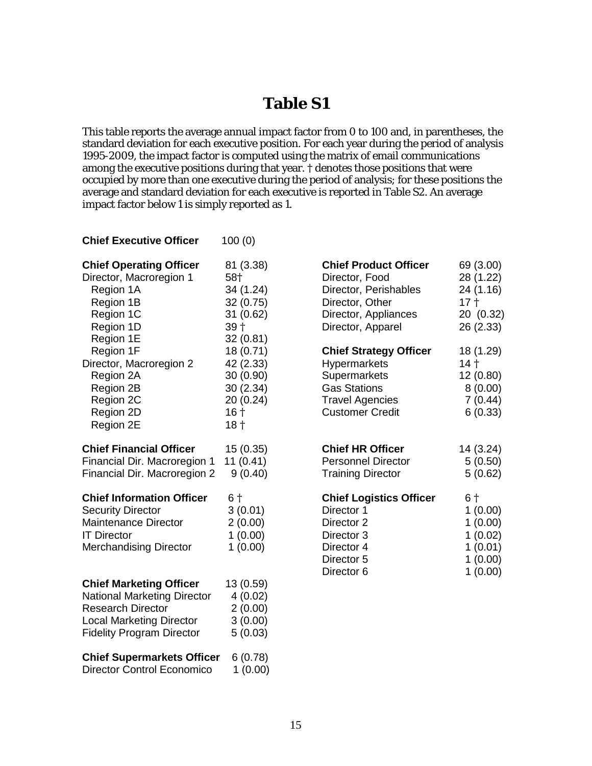# **Table S1**

This table reports the average annual impact factor from 0 to 100 and, in parentheses, the standard deviation for each executive position. For each year during the period of analysis 1995-2009, the impact factor is computed using the matrix of email communications among the executive positions during that year. † denotes those positions that were occupied by more than one executive during the period of analysis; for these positions the average and standard deviation for each executive is reported in Table S2. An average impact factor below 1 is simply reported as 1.

| <b>Chief Operating Officer</b><br>Director, Macroregion 1<br>Region 1A<br>Region 1B<br>Region 1C<br>Region 1D<br>Region 1E<br>Region 1F<br>Director, Macroregion 2<br>Region 2A<br>Region 2B<br>Region 2C<br>Region 2D<br>Region 2E | 81 (3.38)<br>58†<br>34 (1.24)<br>32(0.75)<br>31(0.62)<br>39 †<br>32(0.81)<br>18 (0.71)<br>42 (2.33)<br>30(0.90)<br>30(2.34)<br>20(0.24)<br>16 <sup>†</sup><br>18 <sup>†</sup> | <b>Chief Product Officer</b><br>Director, Food<br>Director, Perishables<br>Director, Other<br>Director, Appliances<br>Director, Apparel<br><b>Chief Strategy Officer</b><br>Hypermarkets<br>Supermarkets<br><b>Gas Stations</b><br><b>Travel Agencies</b><br><b>Customer Credit</b> | 69 (3.00)<br>28 (1.22)<br>24(1.16)<br>17 <sup>†</sup><br>20 (0.32)<br>26(2.33)<br>18 (1.29)<br>14 <sup>†</sup><br>12(0.80)<br>8(0.00)<br>7(0.44)<br>6(0.33) |
|-------------------------------------------------------------------------------------------------------------------------------------------------------------------------------------------------------------------------------------|-------------------------------------------------------------------------------------------------------------------------------------------------------------------------------|-------------------------------------------------------------------------------------------------------------------------------------------------------------------------------------------------------------------------------------------------------------------------------------|-------------------------------------------------------------------------------------------------------------------------------------------------------------|
| <b>Chief Financial Officer</b><br>Financial Dir. Macroregion 1<br>Financial Dir. Macroregion 2                                                                                                                                      | 15(0.35)<br>11(0.41)<br>9(0.40)                                                                                                                                               | <b>Chief HR Officer</b><br><b>Personnel Director</b><br><b>Training Director</b>                                                                                                                                                                                                    | 14 (3.24)<br>5(0.50)<br>5(0.62)                                                                                                                             |
| <b>Chief Information Officer</b><br><b>Security Director</b><br>Maintenance Director<br><b>IT Director</b><br><b>Merchandising Director</b>                                                                                         | 6 †<br>3(0.01)<br>2(0.00)<br>1(0.00)<br>1(0.00)                                                                                                                               | <b>Chief Logistics Officer</b><br>Director 1<br>Director 2<br>Director 3<br>Director 4<br>Director 5<br>Director <sub>6</sub>                                                                                                                                                       | 6 †<br>1(0.00)<br>1(0.00)<br>1(0.02)<br>1(0.01)<br>1(0.00)<br>1(0.00)                                                                                       |
| <b>Chief Marketing Officer</b><br><b>National Marketing Director</b><br><b>Research Director</b><br><b>Local Marketing Director</b><br><b>Fidelity Program Director</b>                                                             | 13 (0.59)<br>4(0.02)<br>2(0.00)<br>3(0.00)<br>5(0.03)                                                                                                                         |                                                                                                                                                                                                                                                                                     |                                                                                                                                                             |
| <b>Chief Supermarkets Officer</b><br><b>Director Control Economico</b>                                                                                                                                                              | 6(0.78)<br>1(0.00)                                                                                                                                                            |                                                                                                                                                                                                                                                                                     |                                                                                                                                                             |
|                                                                                                                                                                                                                                     |                                                                                                                                                                               |                                                                                                                                                                                                                                                                                     |                                                                                                                                                             |

**Chief Executive Officer** 100 (0)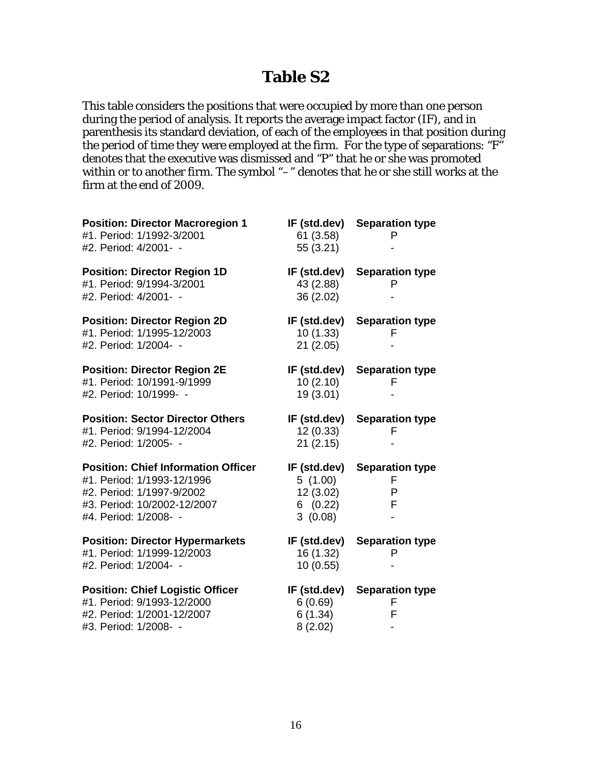## **Table S2**

This table considers the positions that were occupied by more than one person during the period of analysis. It reports the average impact factor (IF), and in parenthesis its standard deviation, of each of the employees in that position during the period of time they were employed at the firm. For the type of separations: "F" denotes that the executive was dismissed and "P" that he or she was promoted within or to another firm. The symbol "–" denotes that he or she still works at the firm at the end of 2009.

| <b>Position: Director Macroregion 1</b><br>#1. Period: 1/1992-3/2001<br>#2. Period: 4/2001- -                                                                 | IF (std.dev)<br>61(3.58)<br>55 (3.21)                     | <b>Separation type</b><br>P           |
|---------------------------------------------------------------------------------------------------------------------------------------------------------------|-----------------------------------------------------------|---------------------------------------|
| <b>Position: Director Region 1D</b><br>#1. Period: 9/1994-3/2001<br>#2. Period: 4/2001- -                                                                     | IF (std.dev)<br>43 (2.88)<br>36 (2.02)                    | <b>Separation type</b><br>P           |
| <b>Position: Director Region 2D</b><br>#1. Period: 1/1995-12/2003<br>#2. Period: 1/2004- -                                                                    | IF (std.dev)<br>10(1.33)<br>21(2.05)                      | <b>Separation type</b><br>F           |
| <b>Position: Director Region 2E</b><br>#1. Period: 10/1991-9/1999<br>#2. Period: 10/1999- -                                                                   | IF (std.dev)<br>10(2.10)<br>19 (3.01)                     | <b>Separation type</b><br>F           |
| <b>Position: Sector Director Others</b><br>#1. Period: 9/1994-12/2004<br>#2. Period: 1/2005- -                                                                | IF (std.dev)<br>12(0.33)<br>21(2.15)                      | <b>Separation type</b><br>F           |
| <b>Position: Chief Information Officer</b><br>#1. Period: 1/1993-12/1996<br>#2. Period: 1/1997-9/2002<br>#3. Period: 10/2002-12/2007<br>#4. Period: 1/2008- - | IF (std.dev)<br>5(1.00)<br>12(3.02)<br>6(0.22)<br>3(0.08) | <b>Separation type</b><br>F<br>P<br>F |
| <b>Position: Director Hypermarkets</b><br>#1. Period: 1/1999-12/2003<br>#2. Period: 1/2004- -                                                                 | IF (std.dev)<br>16 (1.32)<br>10(0.55)                     | <b>Separation type</b><br>P           |
| <b>Position: Chief Logistic Officer</b><br>#1. Period: 9/1993-12/2000<br>#2. Period: 1/2001-12/2007<br>#3. Period: 1/2008- -                                  | IF (std.dev)<br>6(0.69)<br>6(1.34)<br>8(2.02)             | <b>Separation type</b><br>F<br>F      |